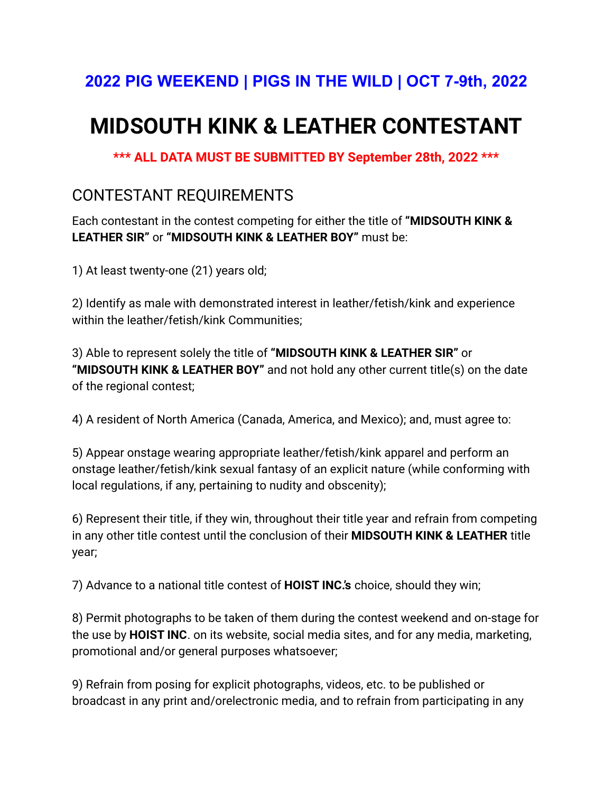## **2022 PIG WEEKEND | PIGS IN THE WILD | OCT 7-9th, 2022**

# **MIDSOUTH KINK & LEATHER CONTESTANT**

**\*\*\* ALL DATA MUST BE SUBMITTED BY September 28th, 2022 \*\*\***

### CONTESTANT REQUIREMENTS

Each contestant in the contest competing for either the title of **"MIDSOUTH KINK & LEATHER SIR"** or **"MIDSOUTH KINK & LEATHER BOY"** must be:

1) At least twenty-one (21) years old;

2) Identify as male with demonstrated interest in leather/fetish/kink and experience within the leather/fetish/kink Communities;

3) Able to represent solely the title of **"MIDSOUTH KINK & LEATHER SIR"** or **"MIDSOUTH KINK & LEATHER BOY"** and not hold any other current title(s) on the date of the regional contest;

4) A resident of North America (Canada, America, and Mexico); and, must agree to:

5) Appear onstage wearing appropriate leather/fetish/kink apparel and perform an onstage leather/fetish/kink sexual fantasy of an explicit nature (while conforming with local regulations, if any, pertaining to nudity and obscenity);

6) Represent their title, if they win, throughout their title year and refrain from competing in any other title contest until the conclusion of their **MIDSOUTH KINK & LEATHER** title year;

7) Advance to a national title contest of **HOIST INC.'s** choice, should they win;

8) Permit photographs to be taken of them during the contest weekend and on-stage for the use by **HOIST INC**. on its website, social media sites, and for any media, marketing, promotional and/or general purposes whatsoever;

9) Refrain from posing for explicit photographs, videos, etc. to be published or broadcast in any print and/orelectronic media, and to refrain from participating in any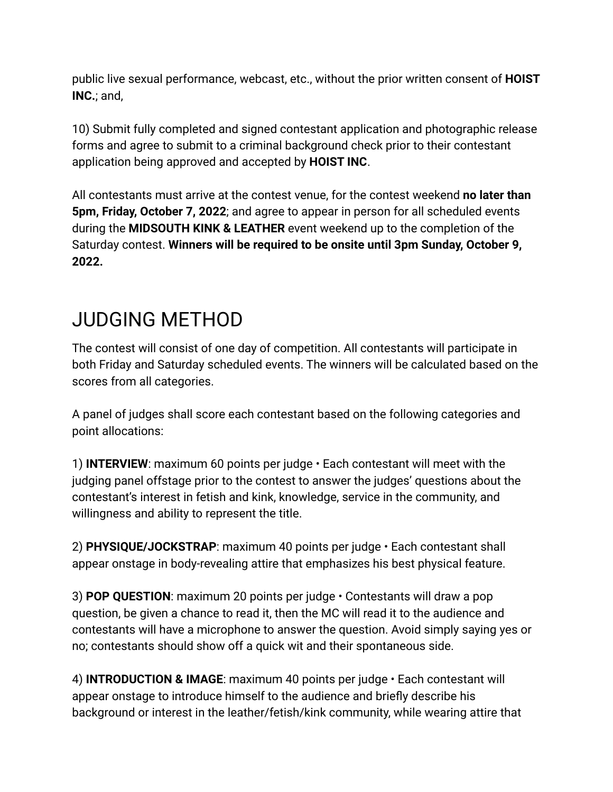public live sexual performance, webcast, etc., without the prior written consent of **HOIST INC.**; and,

10) Submit fully completed and signed contestant application and photographic release forms and agree to submit to a criminal background check prior to their contestant application being approved and accepted by **HOIST INC**.

All contestants must arrive at the contest venue, for the contest weekend **no later than 5pm, Friday, October 7, 2022**; and agree to appear in person for all scheduled events during the **MIDSOUTH KINK & LEATHER** event weekend up to the completion of the Saturday contest. **Winners will be required to be onsite until 3pm Sunday, October 9, 2022.**

## JUDGING METHOD

The contest will consist of one day of competition. All contestants will participate in both Friday and Saturday scheduled events. The winners will be calculated based on the scores from all categories.

A panel of judges shall score each contestant based on the following categories and point allocations:

1) **INTERVIEW**: maximum 60 points per judge • Each contestant will meet with the judging panel offstage prior to the contest to answer the judges' questions about the contestant's interest in fetish and kink, knowledge, service in the community, and willingness and ability to represent the title.

2) **PHYSIQUE/JOCKSTRAP**: maximum 40 points per judge • Each contestant shall appear onstage in body-revealing attire that emphasizes his best physical feature.

3) **POP QUESTION**: maximum 20 points per judge • Contestants will draw a pop question, be given a chance to read it, then the MC will read it to the audience and contestants will have a microphone to answer the question. Avoid simply saying yes or no; contestants should show off a quick wit and their spontaneous side.

4) **INTRODUCTION & IMAGE**: maximum 40 points per judge • Each contestant will appear onstage to introduce himself to the audience and briefly describe his background or interest in the leather/fetish/kink community, while wearing attire that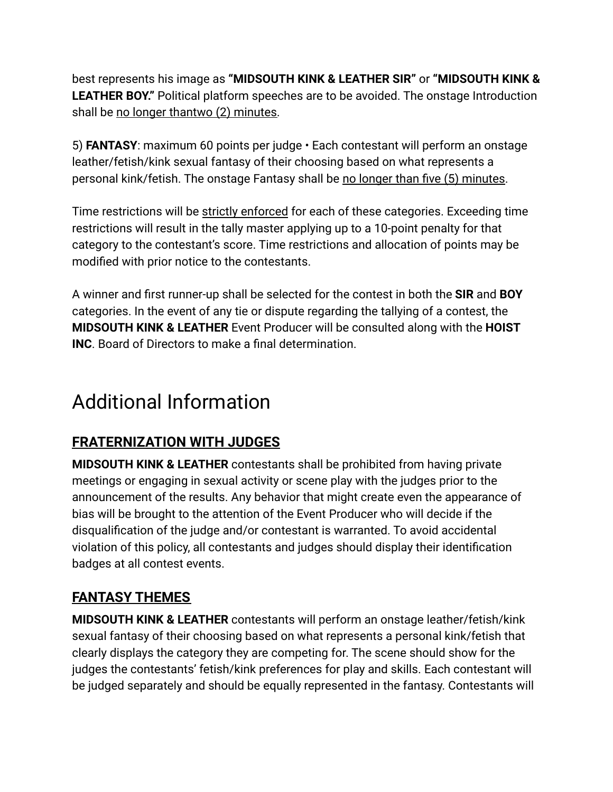best represents his image as **"MIDSOUTH KINK & LEATHER SIR"** or **"MIDSOUTH KINK & LEATHER BOY."** Political platform speeches are to be avoided. The onstage Introduction shall be no longer thantwo (2) minutes.

5) **FANTASY**: maximum 60 points per judge • Each contestant will perform an onstage leather/fetish/kink sexual fantasy of their choosing based on what represents a personal kink/fetish. The onstage Fantasy shall be no longer than five (5) minutes.

Time restrictions will be strictly enforced for each of these categories. Exceeding time restrictions will result in the tally master applying up to a 10-point penalty for that category to the contestant's score. Time restrictions and allocation of points may be modified with prior notice to the contestants.

A winner and first runner-up shall be selected for the contest in both the **SIR** and **BOY** categories. In the event of any tie or dispute regarding the tallying of a contest, the **MIDSOUTH KINK & LEATHER** Event Producer will be consulted along with the **HOIST INC**. Board of Directors to make a final determination.

## Additional Information

### **FRATERNIZATION WITH JUDGES**

**MIDSOUTH KINK & LEATHER** contestants shall be prohibited from having private meetings or engaging in sexual activity or scene play with the judges prior to the announcement of the results. Any behavior that might create even the appearance of bias will be brought to the attention of the Event Producer who will decide if the disqualification of the judge and/or contestant is warranted. To avoid accidental violation of this policy, all contestants and judges should display their identification badges at all contest events.

### **FANTASY THEMES**

**MIDSOUTH KINK & LEATHER** contestants will perform an onstage leather/fetish/kink sexual fantasy of their choosing based on what represents a personal kink/fetish that clearly displays the category they are competing for. The scene should show for the judges the contestants' fetish/kink preferences for play and skills. Each contestant will be judged separately and should be equally represented in the fantasy. Contestants will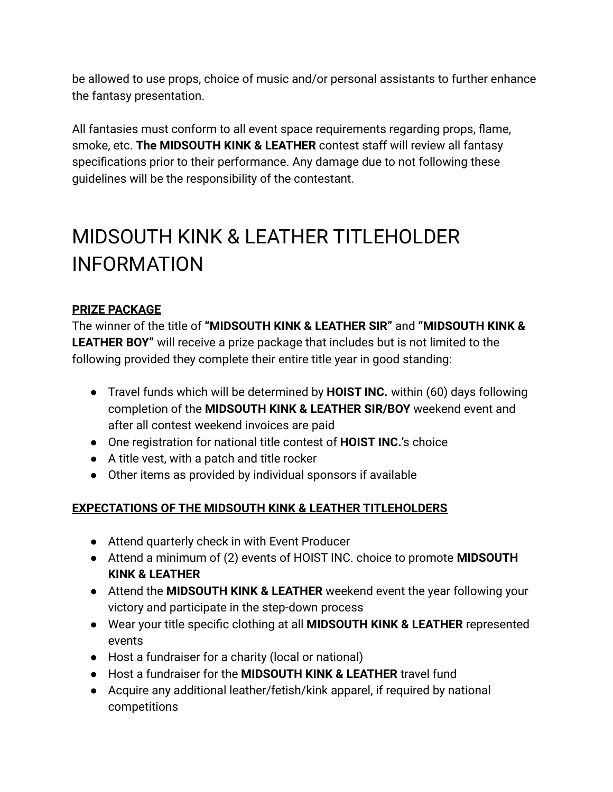be allowed to use props, choice of music and/or personal assistants to further enhance the fantasy presentation.

All fantasies must conform to all event space requirements regarding props, flame, smoke, etc. **The MIDSOUTH KINK & LEATHER** contest staff will review all fantasy specifications prior to their performance. Any damage due to not following these guidelines will be the responsibility of the contestant.

# MIDSOUTH KINK & LEATHER TITLEHOLDER INFORMATION

### **PRIZE PACKAGE**

The winner of the title of **"MIDSOUTH KINK & LEATHER SIR"** and **"MIDSOUTH KINK & LEATHER BOY"** will receive a prize package that includes but is not limited to the following provided they complete their entire title year in good standing:

- Travel funds which will be determined by **HOIST INC.** within (60) days following completion of the **MIDSOUTH KINK & LEATHER SIR/BOY** weekend event and after all contest weekend invoices are paid
- One registration for national title contest of **HOIST INC.**'s choice
- A title vest, with a patch and title rocker
- Other items as provided by individual sponsors if available

### **EXPECTATIONS OF THE MIDSOUTH KINK & LEATHER TITLEHOLDERS**

- Attend quarterly check in with Event Producer
- Attend a minimum of (2) events of HOIST INC. choice to promote **MIDSOUTH KINK & LEATHER**
- Attend the **MIDSOUTH KINK & LEATHER** weekend event the year following your victory and participate in the step-down process
- Wear your title specific clothing at all **MIDSOUTH KINK & LEATHER** represented events
- Host a fundraiser for a charity (local or national)
- Host a fundraiser for the **MIDSOUTH KINK & LEATHER** travel fund
- Acquire any additional leather/fetish/kink apparel, if required by national competitions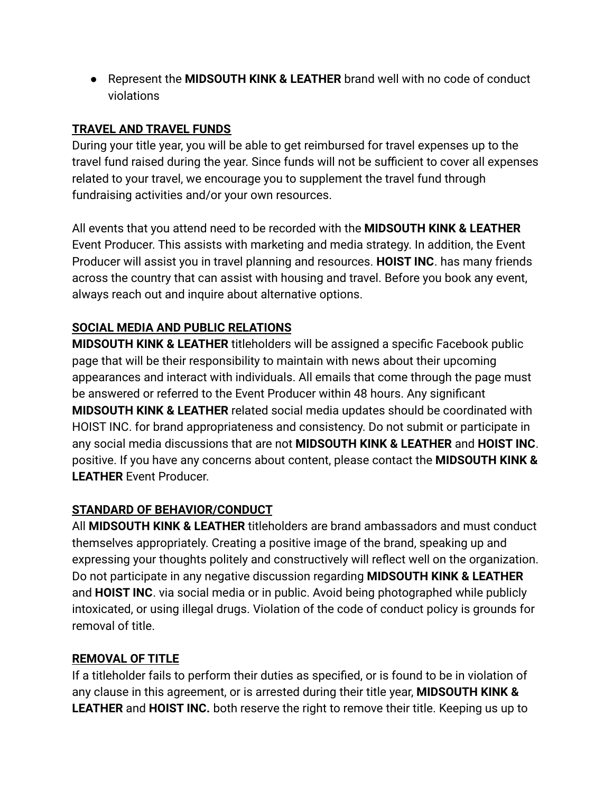● Represent the **MIDSOUTH KINK & LEATHER** brand well with no code of conduct violations

### **TRAVEL AND TRAVEL FUNDS**

During your title year, you will be able to get reimbursed for travel expenses up to the travel fund raised during the year. Since funds will not be sufficient to cover all expenses related to your travel, we encourage you to supplement the travel fund through fundraising activities and/or your own resources.

All events that you attend need to be recorded with the **MIDSOUTH KINK & LEATHER** Event Producer. This assists with marketing and media strategy. In addition, the Event Producer will assist you in travel planning and resources. **HOIST INC**. has many friends across the country that can assist with housing and travel. Before you book any event, always reach out and inquire about alternative options.

### **SOCIAL MEDIA AND PUBLIC RELATIONS**

**MIDSOUTH KINK & LEATHER** titleholders will be assigned a specific Facebook public page that will be their responsibility to maintain with news about their upcoming appearances and interact with individuals. All emails that come through the page must be answered or referred to the Event Producer within 48 hours. Any significant **MIDSOUTH KINK & LEATHER** related social media updates should be coordinated with HOIST INC. for brand appropriateness and consistency. Do not submit or participate in any social media discussions that are not **MIDSOUTH KINK & LEATHER** and **HOIST INC**. positive. If you have any concerns about content, please contact the **MIDSOUTH KINK & LEATHER** Event Producer.

#### **STANDARD OF BEHAVIOR/CONDUCT**

All **MIDSOUTH KINK & LEATHER** titleholders are brand ambassadors and must conduct themselves appropriately. Creating a positive image of the brand, speaking up and expressing your thoughts politely and constructively will reflect well on the organization. Do not participate in any negative discussion regarding **MIDSOUTH KINK & LEATHER** and **HOIST INC**. via social media or in public. Avoid being photographed while publicly intoxicated, or using illegal drugs. Violation of the code of conduct policy is grounds for removal of title.

#### **REMOVAL OF TITLE**

If a titleholder fails to perform their duties as specified, or is found to be in violation of any clause in this agreement, or is arrested during their title year, **MIDSOUTH KINK & LEATHER** and **HOIST INC.** both reserve the right to remove their title. Keeping us up to